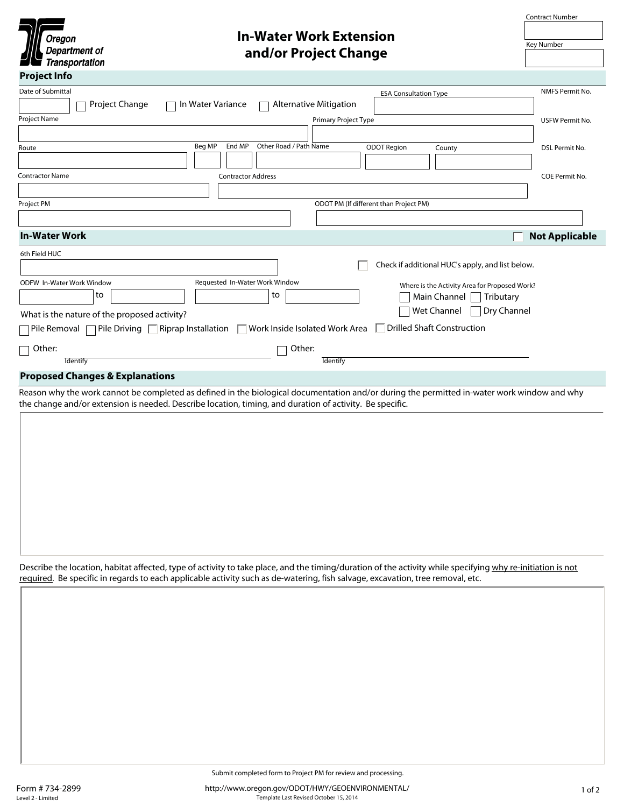

## **In-Water Work Extension and/or Project Change**

Contract Number

| Key Number |  |
|------------|--|

| <b>Second Transportation</b>                                                                                                                                                                                                                                                                 |                       |
|----------------------------------------------------------------------------------------------------------------------------------------------------------------------------------------------------------------------------------------------------------------------------------------------|-----------------------|
| <b>Project Info</b>                                                                                                                                                                                                                                                                          |                       |
| Date of Submittal<br><b>ESA Consultation Type</b><br>Project Change<br>Alternative Mitigation<br>In Water Variance<br>$\overline{\phantom{a}}$                                                                                                                                               | NMFS Permit No.       |
| Project Name<br>Primary Project Type                                                                                                                                                                                                                                                         | USFW Permit No.       |
| $\overline{\phantom{a}}$                                                                                                                                                                                                                                                                     |                       |
| Beg MP<br>End MP<br>Other Road / Path Name<br><b>ODOT Region</b><br>County<br>Route<br>$\vert \mathbf{v} \vert$<br>$\overline{\phantom{a}}$<br>$\vert \textbf{v} \vert$                                                                                                                      | DSL Permit No.        |
| Contractor Name<br><b>Contractor Address</b>                                                                                                                                                                                                                                                 | COE Permit No.        |
|                                                                                                                                                                                                                                                                                              |                       |
| ODOT PM (If different than Project PM)<br>Project PM                                                                                                                                                                                                                                         |                       |
|                                                                                                                                                                                                                                                                                              |                       |
| <b>In-Water Work</b>                                                                                                                                                                                                                                                                         | <b>Not Applicable</b> |
| 6th Field HUC                                                                                                                                                                                                                                                                                |                       |
| Check if additional HUC's apply, and list below.<br>$\left  \rule{0pt}{10pt} \right.$                                                                                                                                                                                                        |                       |
| Requested In-Water Work Window<br>ODFW In-Water Work Window<br>Where is the Activity Area for Proposed Work?<br>to<br>to<br>Main Channel<br>Tributary<br>Dry Channel<br>Wet Channel<br>What is the nature of the proposed activity?                                                          |                       |
| □ Drilled Shaft Construction<br>Pile Driving $\Box$<br>Riprap Installation $\Box$<br>Work Inside Isolated Work Area<br>]Pile Removal                                                                                                                                                         |                       |
| Other:<br>$\sqsupset$ Other:<br><b>Identify</b><br><b>Identify</b>                                                                                                                                                                                                                           |                       |
| <b>Proposed Changes &amp; Explanations</b>                                                                                                                                                                                                                                                   |                       |
| Reason why the work cannot be completed as defined in the biological documentation and/or during the permitted in-water work window and why                                                                                                                                                  |                       |
| the change and/or extension is needed. Describe location, timing, and duration of activity. Be specific.                                                                                                                                                                                     |                       |
|                                                                                                                                                                                                                                                                                              |                       |
|                                                                                                                                                                                                                                                                                              |                       |
|                                                                                                                                                                                                                                                                                              |                       |
|                                                                                                                                                                                                                                                                                              |                       |
| Describe the location, habitat affected, type of activity to take place, and the timing/duration of the activity while specifying why re-initiation is not<br>required. Be specific in regards to each applicable activity such as de-watering, fish salvage, excavation, tree removal, etc. |                       |
|                                                                                                                                                                                                                                                                                              |                       |
|                                                                                                                                                                                                                                                                                              |                       |
|                                                                                                                                                                                                                                                                                              |                       |
|                                                                                                                                                                                                                                                                                              |                       |
|                                                                                                                                                                                                                                                                                              |                       |
|                                                                                                                                                                                                                                                                                              |                       |
|                                                                                                                                                                                                                                                                                              |                       |